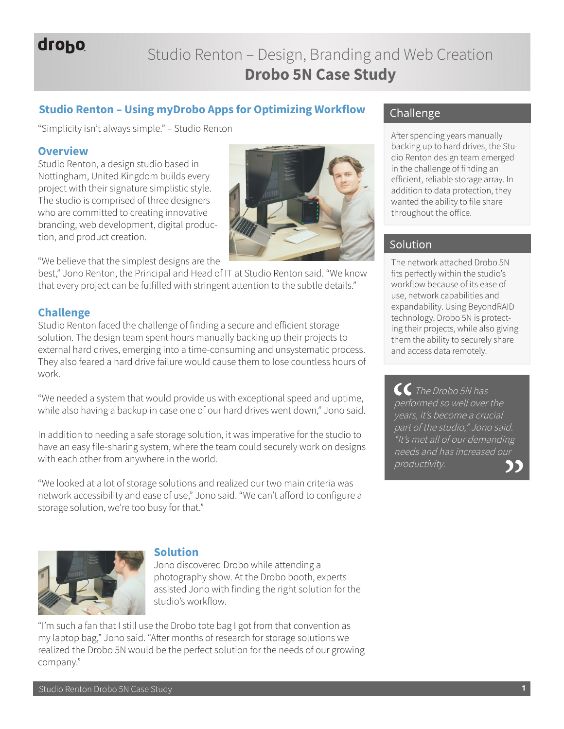# drobo

# Studio Renton – Design, Branding and Web Creation **Drobo 5N Case Study**

## **Studio Renton – Using myDrobo Apps for Optimizing Workflow**

"Simplicity isn't always simple." – Studio Renton

#### **Overview**

Studio Renton, a design studio based in Nottingham, United Kingdom builds every project with their signature simplistic style. The studio is comprised of three designers who are committed to creating innovative branding, web development, digital production, and product creation.



"We believe that the simplest designs are the

best," Jono Renton, the Principal and Head of IT at Studio Renton said. "We know that every project can be fulfilled with stringent attention to the subtle details."

#### **Challenge**

Studio Renton faced the challenge of finding a secure and efficient storage solution. The design team spent hours manually backing up their projects to external hard drives, emerging into a time-consuming and unsystematic process. They also feared a hard drive failure would cause them to lose countless hours of work.

"We needed a system that would provide us with exceptional speed and uptime, while also having a backup in case one of our hard drives went down," Jono said.

In addition to needing a safe storage solution, it was imperative for the studio to have an easy file-sharing system, where the team could securely work on designs with each other from anywhere in the world.

"We looked at a lot of storage solutions and realized our two main criteria was network accessibility and ease of use," Jono said. "We can't afford to configure a storage solution, we're too busy for that."



### **Solution**

Jono discovered Drobo while attending a photography show. At the Drobo booth, experts assisted Jono with finding the right solution for the studio's workflow.

"I'm such a fan that I still use the Drobo tote bag I got from that convention as my laptop bag," Jono said. "After months of research for storage solutions we realized the Drobo 5N would be the perfect solution for the needs of our growing company."

## Challenge

After spending years manually backing up to hard drives, the Studio Renton design team emerged in the challenge of finding an efficient, reliable storage array. In addition to data protection, they wanted the ability to file share throughout the office.

### Solution

The network attached Drobo 5N fits perfectly within the studio's workflow because of its ease of use, network capabilities and expandability. Using BeyondRAID technology, Drobo 5N is protecting their projects, while also giving them the ability to securely share and access data remotely.

 $\mathcal C$  The Drobo 5N has performed so well over the years, it's become a crucial part of the studio," Jono said. "It's met all of our demanding needs and has increased our productivity.